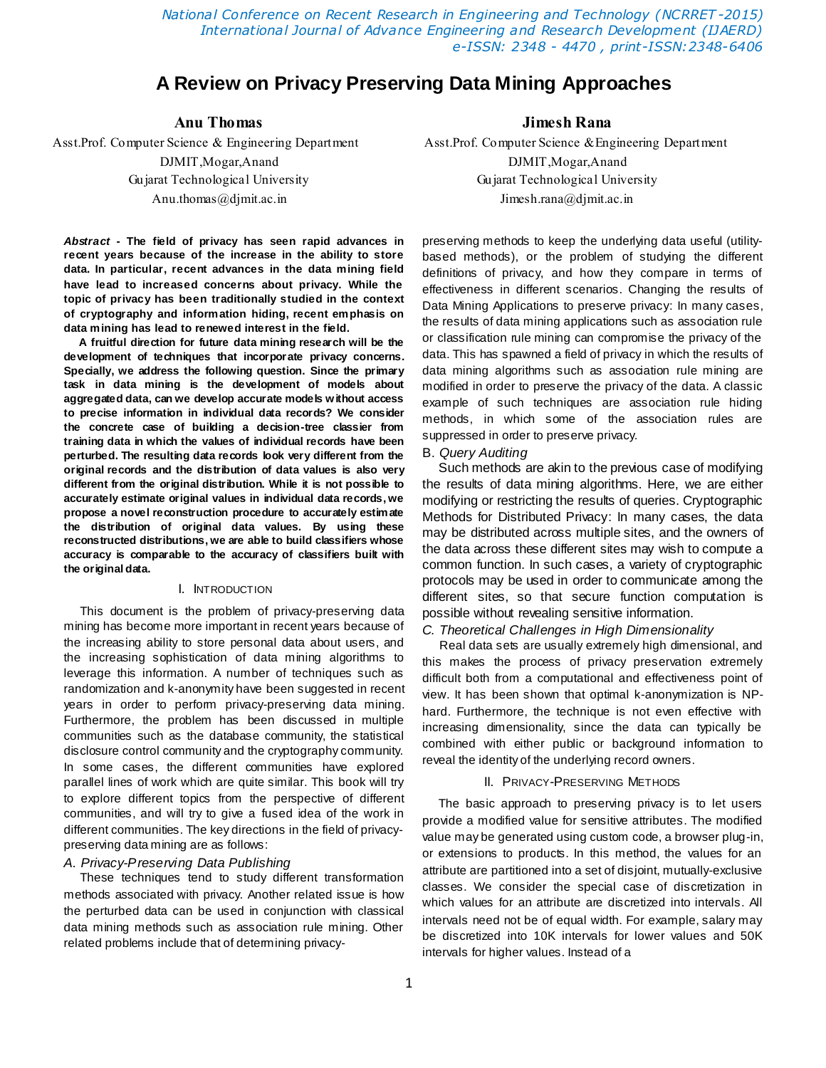*National Conference on Recent Research in Engineering and Technology (NCRRET -2015) International Journal of Advance Engineering and Research Development (IJAERD) e-ISSN: 2348 - 4470 , print-ISSN:2348-6406*

# **A Review on Privacy Preserving Data Mining Approaches**

*Abstract* **- The field of privacy has seen rapid advances in recent years because of the increase in the ability to store data. In particular, recent advances in the data mining field have lead to increased concerns about privacy. While the topic of privacy has been traditionally studied in the context of cryptography and information hiding, recent emphasis on data mining has lead to renewed interest in the field.**

**A fruitful direction for future data mining research will be the development of techniques that incorporate privacy concerns. Specially, we address the following question. Since the primary task in data mining is the development of models about aggregated data, can we develop accurate models without access to precise information in individual data records? We consider the concrete case of building a decision-tree classier from training data in which the values of individual records have been perturbed. The resulting data records look very different from the original records and the distribution of data values is also very different from the original distribution. While it is not possible to accurately estimate original values in individual data records, we propose a novel reconstruction procedure to accurately estimate the distribution of original data values. By using these reconstructed distributions, we are able to build classifiers whose accuracy is comparable to the accuracy of classifiers built with the original data.**

#### I. INTRODUCTION

This document is the problem of privacy-preserving data mining has become more important in recent years because of the increasing ability to store personal data about users, and the increasing sophistication of data mining algorithms to leverage this information. A number of techniques such as randomization and k-anonymity have been suggested in recent years in order to perform privacy-preserving data mining. Furthermore, the problem has been discussed in multiple communities such as the database community, the statistical disclosure control community and the cryptography community. In some cases, the different communities have explored parallel lines of work which are quite similar. This book will try to explore different topics from the perspective of different communities, and will try to give a fused idea of the work in different communities. The key directions in the field of privacypreserving data mining are as follows:

# *A. Privacy-Preserving Data Publishing*

These techniques tend to study different transformation methods associated with privacy. Another related issue is how the perturbed data can be used in conjunction with classical data mining methods such as association rule mining. Other related problems include that of determining privacy-

# **Anu Thomas Jimesh Rana**

Asst.Prof. Computer Science & Engineering DepartmentAsst.Prof. Computer Science &Engineering Department DJMIT,Mogar,Anand DJMIT,Mogar,Anand Gujarat Technological University Gujarat Technological University Anu.thomas@djmit.ac.in Jimesh.rana@djmit.ac.in

> preserving methods to keep the underlying data useful (utilitybased methods), or the problem of studying the different definitions of privacy, and how they compare in terms of effectiveness in different scenarios. Changing the results of Data Mining Applications to preserve privacy: In many cases, the results of data mining applications such as association rule or classification rule mining can compromise the privacy of the data. This has spawned a field of privacy in which the results of data mining algorithms such as association rule mining are modified in order to preserve the privacy of the data. A classic example of such techniques are association rule hiding methods, in which some of the association rules are suppressed in order to preserve privacy.

#### B. *Query Auditing*

Such methods are akin to the previous case of modifying the results of data mining algorithms. Here, we are either modifying or restricting the results of queries. Cryptographic Methods for Distributed Privacy: In many cases, the data may be distributed across multiple sites, and the owners of the data across these different sites may wish to compute a common function. In such cases, a variety of cryptographic protocols may be used in order to communicate among the different sites, so that secure function computation is possible without revealing sensitive information.

### *C. Theoretical Challenges in High Dimensionality*

Real data sets are usually extremely high dimensional, and this makes the process of privacy preservation extremely difficult both from a computational and effectiveness point of view. It has been shown that optimal k-anonymization is NPhard. Furthermore, the technique is not even effective with increasing dimensionality, since the data can typically be combined with either public or background information to reveal the identity of the underlying record owners.

#### II. PRIVACY-PRESERVING METHODS

The basic approach to preserving privacy is to let users provide a modified value for sensitive attributes. The modified value may be generated using custom code, a browser plug-in, or extensions to products. In this method, the values for an attribute are partitioned into a set of disjoint, mutually-exclusive classes. We consider the special case of discretization in which values for an attribute are discretized into intervals. All intervals need not be of equal width. For example, salary may be discretized into 10K intervals for lower values and 50K intervals for higher values. Instead of a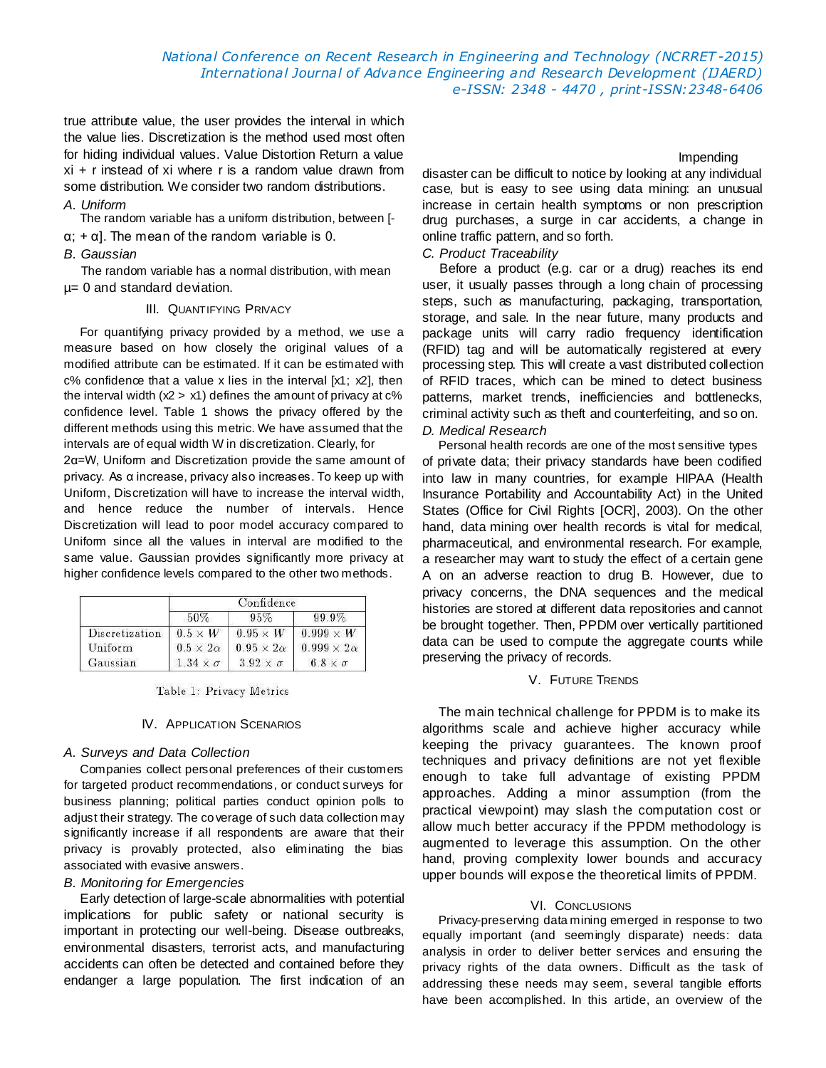true attribute value, the user provides the interval in which the value lies. Discretization is the method used most often for hiding individual values. Value Distortion Return a value xi + r instead of xi where r is a random value drawn from some distribution. We consider two random distributions.

# *A. Uniform*

The random variable has a uniform distribution, between [-

 $\alpha$ ; +  $\alpha$ ]. The mean of the random variable is 0.

# *B. Gaussian*

The random variable has a normal distribution, with mean µ= 0 and standard deviation.

#### III. QUANTIFYING PRIVACY

For quantifying privacy provided by a method, we use a measure based on how closely the original values of a modified attribute can be estimated. If it can be estimated with c% confidence that a value x lies in the interval [x1; x2], then the interval width  $(x2 > x1)$  defines the amount of privacy at  $c\%$ confidence level. Table 1 shows the privacy offered by the different methods using this metric. We have assumed that the intervals are of equal width W in discretization. Clearly, for

2α=W, Uniform and Discretization provide the same amount of privacy. As α increase, privacy also increases. To keep up with Uniform, Discretization will have to increase the interval width, and hence reduce the number of intervals. Hence Discretization will lead to poor model accuracy compared to Uniform since all the values in interval are modified to the same value. Gaussian provides significantly more privacy at higher confidence levels compared to the other two methods.

|                | Confidence           |                       |                        |
|----------------|----------------------|-----------------------|------------------------|
|                | 50%                  | 95%                   | 99.9%                  |
| Discretization | $0.5 \times W$       | $0.95 \times W$       | $0.999\times W$        |
| Uniform        | $0.5 \times 2\alpha$ | $0.95 \times 2\alpha$ | $0.999 \times 2\alpha$ |
| Gaussian       | $1.34 \times \sigma$ | $3.92 \times \sigma$  | $6.8 \times \sigma$    |

Table 1: Privacy Metrics

# IV. APPLICATION SCENARIOS

# *A. Surveys and Data Collection*

Companies collect personal preferences of their customers for targeted product recommendations, or conduct surveys for business planning; political parties conduct opinion polls to adjust their strategy. The co verage of such data collection may significantly increase if all respondents are aware that their privacy is provably protected, also eliminating the bias associated with evasive answers.

### *B. Monitoring for Emergencies*

Early detection of large-scale abnormalities with potential implications for public safety or national security is important in protecting our well-being. Disease outbreaks, environmental disasters, terrorist acts, and manufacturing accidents can often be detected and contained before they endanger a large population. The first indication of an

# Impending

disaster can be difficult to notice by looking at any individual case, but is easy to see using data mining: an unusual increase in certain health symptoms or non prescription drug purchases, a surge in car accidents, a change in online traffic pattern, and so forth.

# *C. Product Traceability*

Before a product (e.g. car or a drug) reaches its end user, it usually passes through a long chain of processing steps, such as manufacturing, packaging, transportation, storage, and sale. In the near future, many products and package units will carry radio frequency identification (RFID) tag and will be automatically registered at every processing step. This will create a vast distributed collection of RFID traces, which can be mined to detect business patterns, market trends, inefficiencies and bottlenecks, criminal activity such as theft and counterfeiting, and so on.

# *D. Medical Research*

Personal health records are one of the most sensitive types of private data; their privacy standards have been codified into law in many countries, for example HIPAA (Health Insurance Portability and Accountability Act) in the United States (Office for Civil Rights [OCR], 2003). On the other hand, data mining over health records is vital for medical, pharmaceutical, and environmental research. For example, a researcher may want to study the effect of a certain gene A on an adverse reaction to drug B. However, due to privacy concerns, the DNA sequences and the medical histories are stored at different data repositories and cannot be brought together. Then, PPDM over vertically partitioned data can be used to compute the aggregate counts while preserving the privacy of records.

#### V. FUTURE TRENDS

The main technical challenge for PPDM is to make its algorithms scale and achieve higher accuracy while keeping the privacy guarantees. The known proof techniques and privacy definitions are not yet flexible enough to take full advantage of existing PPDM approaches. Adding a minor assumption (from the practical viewpoint) may slash the computation cost or allow much better accuracy if the PPDM methodology is augmented to leverage this assumption. On the other hand, proving complexity lower bounds and accuracy upper bounds will expose the theoretical limits of PPDM.

# VI. CONCLUSIONS

Privacy-preserving data mining emerged in response to two equally important (and seemingly disparate) needs: data analysis in order to deliver better services and ensuring the privacy rights of the data owners. Difficult as the task of addressing these needs may seem, several tangible efforts have been accomplished. In this article, an overview of the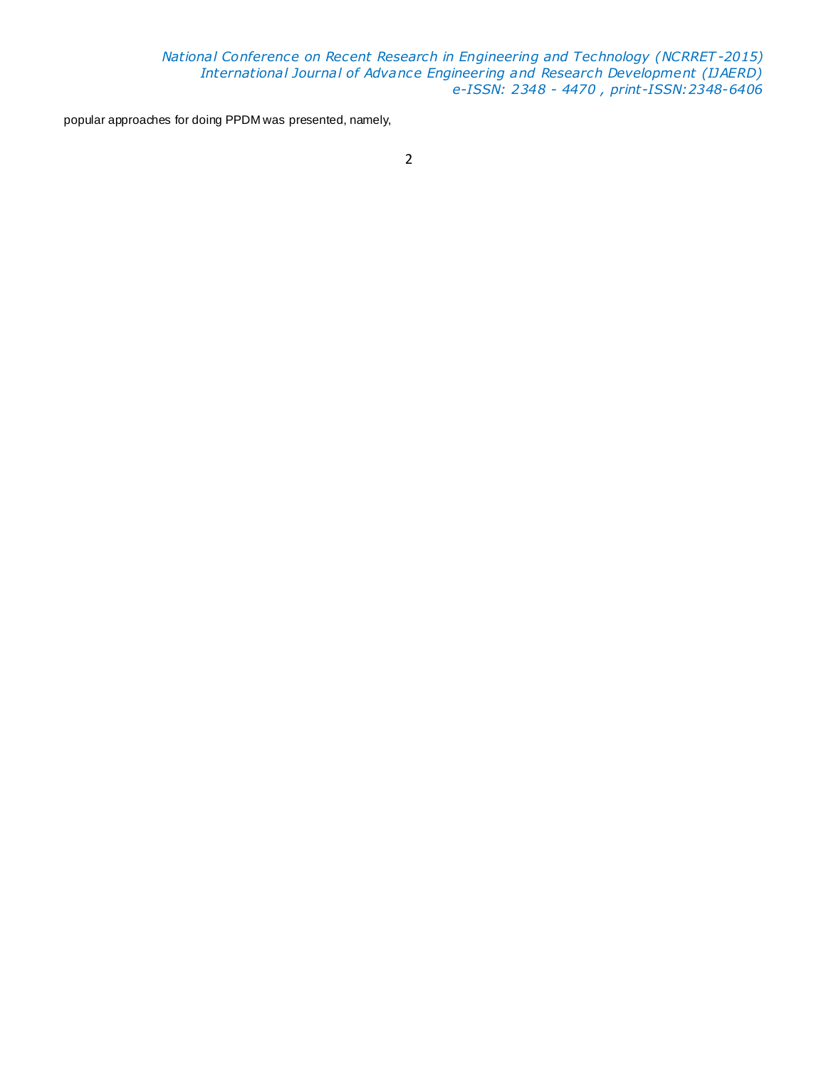*National Conference on Recent Research in Engineering and Technology (NCRRET -2015) International Journal of Advance Engineering and Research Development (IJAERD) e-ISSN: 2348 - 4470 , print-ISSN:2348-6406*

popular approaches for doing PPDM was presented, namely,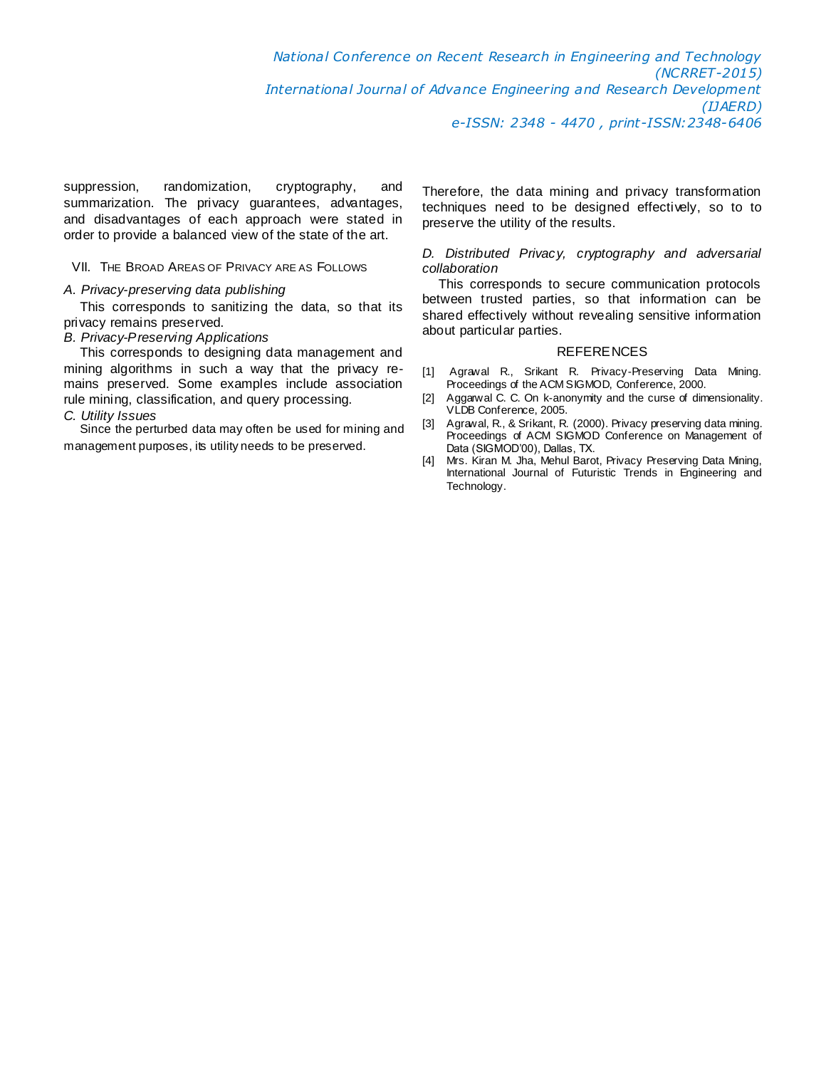suppression, randomization, cryptography, and summarization. The privacy guarantees, advantages, and disadvantages of each approach were stated in order to provide a balanced view of the state of the art.

### VII. THE BROAD AREAS OF PRIVACY ARE AS FOLLOWS

# *A. Privacy-preserving data publishing*

This corresponds to sanitizing the data, so that its privacy remains preserved.

### *B. Privacy-Preserving Applications*

This corresponds to designing data management and mining algorithms in such a way that the privacy remains preserved. Some examples include association rule mining, classification, and query processing.

# *C. Utility Issues*

Since the perturbed data may often be used for mining and management purposes, its utility needs to be preserved.

Therefore, the data mining and privacy transformation techniques need to be designed effectively, so to to preserve the utility of the results.

# *D. Distributed Privacy, cryptography and adversarial collaboration*

This corresponds to secure communication protocols between trusted parties, so that information can be shared effectively without revealing sensitive information about particular parties.

#### **REFERENCES**

- [1] Agrawal R., Srikant R. Privacy-Preserving Data Mining. Proceedings of the ACM SIGMOD, Conference, 2000.
- [2] Aggarwal C. C. On k-anonymity and the curse of dimensionality. VLDB Conference, 2005.
- [3] Agrawal, R., & Srikant, R. (2000). Privacy preserving data mining. Proceedings of ACM SIGMOD Conference on Management of Data (SIGMOD'00), Dallas, TX.
- [4] Mrs. Kiran M. Jha, Mehul Barot, Privacy Preserving Data Mining, International Journal of Futuristic Trends in Engineering and Technology.